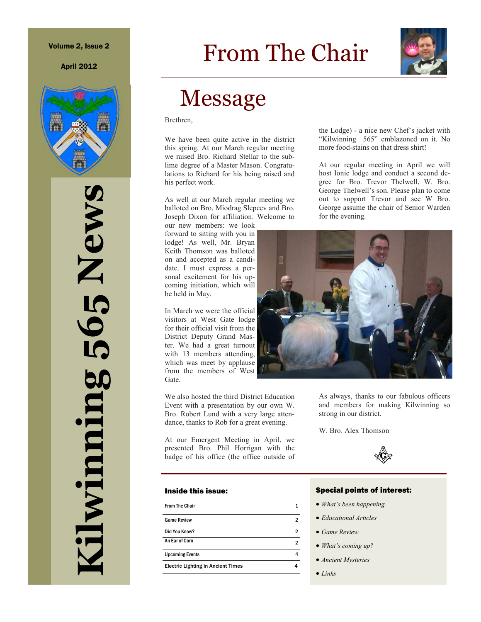April 2012



# **Kilwinning 565 News**  Thwinning 565 News

# From The Chair



# Message

Brethren,

We have been quite active in the district this spring. At our March regular meeting we raised Bro. Richard Stellar to the sublime degree of a Master Mason. Congratulations to Richard for his being raised and his perfect work.

As well at our March regular meeting we balloted on Bro. Miodrag Slepcev and Bro. Joseph Dixon for affiliation. Welcome to

our new members: we look forward to sitting with you in lodge! As well, Mr. Bryan Keith Thomson was balloted on and accepted as a candidate. I must express a personal excitement for his upcoming initiation, which will be held in May.

In March we were the official visitors at West Gate lodge for their official visit from the District Deputy Grand Master. We had a great turnout with 13 members attending, which was meet by applause from the members of West Gate.

We also hosted the third District Education Event with a presentation by our own W. Bro. Robert Lund with a very large attendance, thanks to Rob for a great evening.

At our Emergent Meeting in April, we presented Bro. Phil Horrigan with the badge of his office (the office outside of

#### Inside this issue:

| <b>From The Chair</b>                     |   |
|-------------------------------------------|---|
| <b>Game Review</b>                        | 2 |
| Did You Know?                             | 2 |
| An Ear of Corn                            | 2 |
| <b>Upcoming Events</b>                    |   |
| <b>Electric Lighting in Ancient Times</b> |   |

the Lodge) - a nice new Chef's jacket with "Kilwinning 565" emblazoned on it. No more food-stains on that dress shirt!

At our regular meeting in April we will host Ionic lodge and conduct a second degree for Bro. Trevor Thelwell, W. Bro. George Thelwell's son. Please plan to come out to support Trevor and see W Bro. George assume the chair of Senior Warden for the evening.



As always, thanks to our fabulous officers and members for making Kilwinning so strong in our district.

W. Bro. Alex Thomson



#### Special points of interest:

- *What's been happening*
- *Educational Articles*
- *Game Review*
- *What's coming up?*
- *Ancient Mysteries*
- *Links*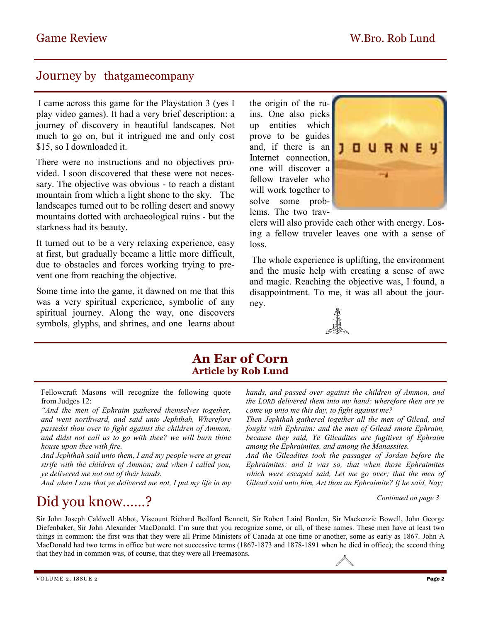## Journey by thatgamecompany

I came across this game for the Playstation 3 (yes I play video games). It had a very brief description: a journey of discovery in beautiful landscapes. Not much to go on, but it intrigued me and only cost \$15, so I downloaded it.

There were no instructions and no objectives provided. I soon discovered that these were not necessary. The objective was obvious - to reach a distant mountain from which a light shone to the sky. The landscapes turned out to be rolling desert and snowy mountains dotted with archaeological ruins - but the starkness had its beauty.

It turned out to be a very relaxing experience, easy at first, but gradually became a little more difficult, due to obstacles and forces working trying to prevent one from reaching the objective.

Some time into the game, it dawned on me that this was a very spiritual experience, symbolic of any spiritual journey. Along the way, one discovers symbols, glyphs, and shrines, and one learns about

the origin of the ruins. One also picks up entities which prove to be guides and, if there is an Internet connection, one will discover a fellow traveler who will work together to solve some problems. The two trav-



elers will also provide each other with energy. Losing a fellow traveler leaves one with a sense of loss.

The whole experience is uplifting, the environment and the music help with creating a sense of awe and magic. Reaching the objective was, I found, a disappointment. To me, it was all about the journey.



### **An Ear of Corn Article by Rob Lund**

Fellowcraft Masons will recognize the following quote from Judges 12:

*"And the men of Ephraim gathered themselves together, and went northward, and said unto Jephthah, Wherefore passedst thou over to fight against the children of Ammon, and didst not call us to go with thee? we will burn thine house upon thee with fire.* 

*And Jephthah said unto them, I and my people were at great strife with the children of Ammon; and when I called you, ye delivered me not out of their hands.* 

*And when I saw that ye delivered me not, I put my life in my* 

#### *hands, and passed over against the children of Ammon, and the LORD delivered them into my hand: wherefore then are ye come up unto me this day, to fight against me?*

*Then Jephthah gathered together all the men of Gilead, and fought with Ephraim: and the men of Gilead smote Ephraim, because they said, Ye Gileadites are fugitives of Ephraim among the Ephraimites, and among the Manassites.* 

*And the Gileadites took the passages of Jordan before the Ephraimites: and it was so, that when those Ephraimites which were escaped said, Let me go over; that the men of Gilead said unto him, Art thou an Ephraimite? If he said, Nay;* 

#### *Continued on page 3*

# Did you know……?

Sir John Joseph Caldwell Abbot, Viscount Richard Bedford Bennett, Sir Robert Laird Borden, Sir Mackenzie Bowell, John George Diefenbaker, Sir John Alexander MacDonald. I'm sure that you recognize some, or all, of these names. These men have at least two things in common: the first was that they were all Prime Ministers of Canada at one time or another, some as early as 1867. John A MacDonald had two terms in office but were not successive terms (1867-1873 and 1878-1891 when he died in office); the second thing that they had in common was, of course, that they were all Freemasons.

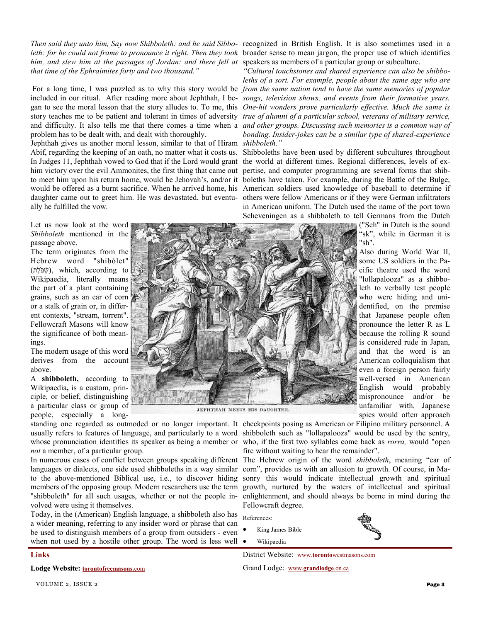*Then said they unto him, Say now Shibboleth: and he said Sibbo-*recognized in British English. It is also sometimes used in a leth: for he could not frame to pronounce it right. Then they took broader sense to mean jargon, the proper use of which identifies him, and slew him at the passages of Jordan: and there fell at speakers as members of a particular group or subculture. *that time of the Ephraimites forty and two thousand."* 

problem has to be dealt with, and dealt with thoroughly.

Jephthah gives us another moral lesson, similar to that of Hiram *shibboleth."*  In Judges 11, Jephthah vowed to God that if the Lord would grant the world at different times. Regional differences, levels of exhim victory over the evil Ammonites, the first thing that came out pertise, and computer programming are several forms that shibally he fulfilled the vow.

Let us now look at the word *Shibboleth* mentioned in the passage above.

The term originates from the Hebrew word "shibólet"  $(\psi)$ , which, according to Wikipaedia, literally means the part of a plant containing grains, such as an ear of corn or a stalk of grain or, in different contexts, "stream, torrent". Fellowcraft Masons will know the significance of both meanings.

The modern usage of this word derives from the account above.

A **shibboleth,** according to Wikipaedia**,** is a custom, principle, or belief, distinguishing a particular class or group of people, especially a long-

*not* a member, of a particular group.

languages or dialects, one side used shibboleths in a way similar corn", provides us with an allusion to growth. Of course, in Mavolved were using it themselves.

Today, in the (American) English language, a shibboleth also has a wider meaning, referring to any insider word or phrase that can be used to distinguish members of a group from outsiders - even when not used by a hostile other group. The word is less well  $\bullet$ 

For a long time, I was puzzled as to why this story would be *from the same nation tend to have the same memories of popular* included in our ritual. After reading more about Jephthah, I be-*songs, television shows, and events from their formative years.*  gan to see the moral lesson that the story alludes to. To me, this *One-hit wonders prove particularly effective. Much the same is*  story teaches me to be patient and tolerant in times of adversity *true of alumni of a particular school, veterans of military service,*  and difficulty. It also tells me that there comes a time when a *and other groups. Discussing such memories is a common way of "Cultural touchstones and shared experience can also be shibboleths of a sort. For example, people about the same age who are bonding. Insider-jokes can be a similar type of shared-experience* 

Abif, regarding the keeping of an oath, no matter what it costs us. Shibboleths have been used by different subcultures throughout to meet him upon his return home, would be Jehovah's, and/or it boleths have taken. For example, during the Battle of the Bulge, would be offered as a burnt sacrifice. When he arrived home, his American soldiers used knowledge of baseball to determine if daughter came out to greet him. He was devastated, but eventu-others were fellow Americans or if they were German infiltrators in American uniform. The Dutch used the name of the port town Scheveningen as a shibboleth to tell Germans from the Dutch

("Sch" in Dutch is the sound "sk", while in German it is "sh".

Also during World War II, some US soldiers in the Pacific theatre used the word "lollapalooza" as a shibboleth to verbally test people who were hiding and unidentified, on the premise that Japanese people often pronounce the letter R as L because the rolling R sound is considered rude in Japan, and that the word is an American colloquialism that even a foreign person fairly well-versed in American English would probably mispronounce and/or be unfamiliar with. Japanese spies would often approach



JEPHTHAH MEETS HIS DAUGHTER,

standing one regarded as outmoded or no longer important. It checkpoints posing as American or Filipino military personnel. A usually refers to features of language, and particularly to a word shibboleth such as "lollapalooza" would be used by the sentry, whose pronunciation identifies its speaker as being a member or who, if the first two syllables come back as *rorra*, would "open fire without waiting to hear the remainder".

In numerous cases of conflict between groups speaking different The Hebrew origin of the word *shibboleth*, meaning "ear of to the above-mentioned Biblical use, i.e., to discover hiding sonry this would indicate intellectual growth and spiritual members of the opposing group. Modern researchers use the term growth, nurtured by the waters of intellectual and spiritual "shibboleth" for all such usages, whether or not the people in-enlightenment, and should always be borne in mind during the Fellowcraft degree.

References:

- King James Bible
- Wikipaedia

District Website: www.**toronto**westmasons.com

Grand Lodge: www.**grandlodge**.on.ca

**Links** 

**Lodge Website: torontofreemasons**.com